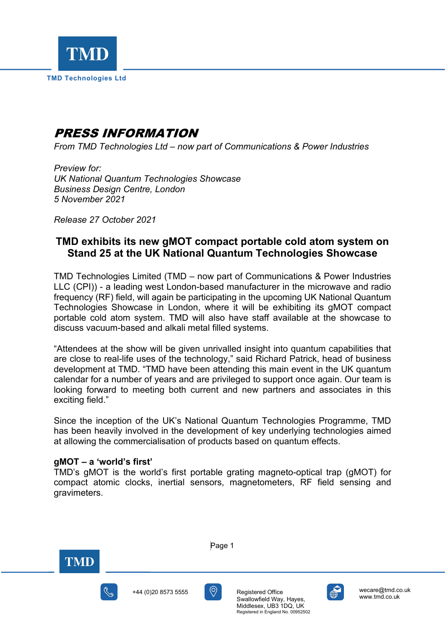

# PRESS INFORMATION

*From TMD Technologies Ltd – now part of Communications & Power Industries*

*Preview for: UK National Quantum Technologies Showcase Business Design Centre, London 5 November 2021*

*Release 27 October 2021*

## **TMD exhibits its new gMOT compact portable cold atom system on Stand 25 at the UK National Quantum Technologies Showcase**

TMD Technologies Limited (TMD – now part of Communications & Power Industries LLC (CPI)) - a leading west London-based manufacturer in the microwave and radio frequency (RF) field, will again be participating in the upcoming UK National Quantum Technologies Showcase in London, where it will be exhibiting its gMOT compact portable cold atom system. TMD will also have staff available at the showcase to discuss vacuum-based and alkali metal filled systems.

"Attendees at the show will be given unrivalled insight into quantum capabilities that are close to real-life uses of the technology," said Richard Patrick, head of business development at TMD. "TMD have been attending this main event in the UK quantum calendar for a number of years and are privileged to support once again. Our team is looking forward to meeting both current and new partners and associates in this exciting field."

Since the inception of the UK's National Quantum Technologies Programme, TMD has been heavily involved in the development of key underlying technologies aimed at allowing the commercialisation of products based on quantum effects.

#### **gMOT – a 'world's first'**

TMD's gMOT is the world's first portable grating magneto-optical trap (gMOT) for compact atomic clocks, inertial sensors, magnetometers, RF field sensing and gravimeters.



í

Page 1





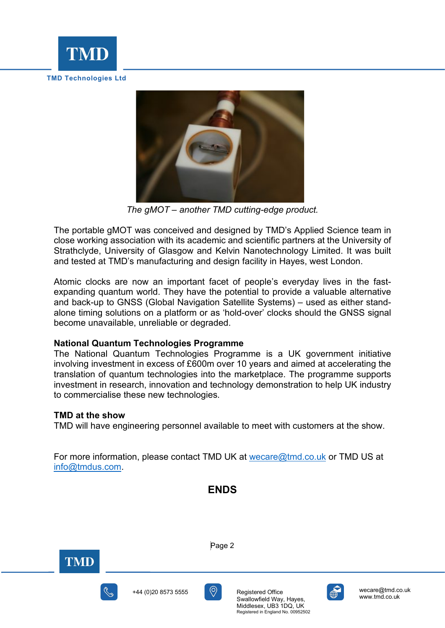



*The gMOT – another TMD cutting-edge product.*

The portable gMOT was conceived and designed by TMD's Applied Science team in close working association with its academic and scientific partners at the University of Strathclyde, University of Glasgow and Kelvin Nanotechnology Limited. It was built and tested at TMD's manufacturing and design facility in Hayes, west London.

Atomic clocks are now an important facet of people's everyday lives in the fastexpanding quantum world. They have the potential to provide a valuable alternative and back-up to GNSS (Global Navigation Satellite Systems) – used as either standalone timing solutions on a platform or as 'hold-over' clocks should the GNSS signal become unavailable, unreliable or degraded.

#### **National Quantum Technologies Programme**

The National Quantum Technologies Programme is a UK government initiative involving investment in excess of £600m over 10 years and aimed at accelerating the translation of quantum technologies into the marketplace. The programme supports investment in research, innovation and technology demonstration to help UK industry to commercialise these new technologies.

#### **TMD at the show**

TMD will have engineering personnel available to meet with customers at the show.

For more information, please contact TMD UK at [wecare@tmd.co.uk](mailto:wecare@tmd.co.uk) or TMD US at [info@tmdus.com.](mailto:info@tmdus.com)

## **ENDS**



í

Page 2





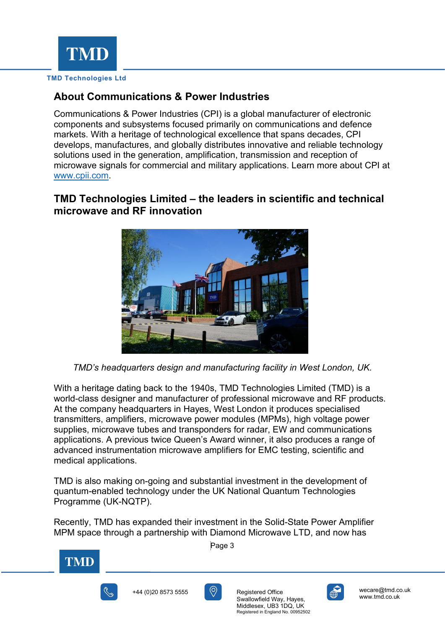

## **About Communications & Power Industries**

Communications & Power Industries (CPI) is a global manufacturer of electronic components and subsystems focused primarily on communications and defence markets. With a heritage of technological excellence that spans decades, CPI develops, manufactures, and globally distributes innovative and reliable technology solutions used in the generation, amplification, transmission and reception of microwave signals for commercial and military applications. Learn more about CPI at [www.cpii.com.](http://www.cpii.com/)

## **TMD Technologies Limited – the leaders in scientific and technical microwave and RF innovation**



*TMD's headquarters design and manufacturing facility in West London, UK.*

With a heritage dating back to the 1940s, TMD Technologies Limited (TMD) is a world-class designer and manufacturer of professional microwave and RF products. At the company headquarters in Hayes, West London it produces specialised transmitters, amplifiers, microwave power modules (MPMs), high voltage power supplies, microwave tubes and transponders for radar, EW and communications applications. A previous twice Queen's Award winner, it also produces a range of advanced instrumentation microwave amplifiers for EMC testing, scientific and medical applications.

TMD is also making on-going and substantial investment in the development of quantum-enabled technology under the UK National Quantum Technologies Programme (UK-NQTP).

Recently, TMD has expanded their investment in the Solid-State Power Amplifier MPM space through a partnership with Diamond Microwave LTD, and now has

Page 3



í





+44 (0)20 8573 5555  $\sqrt{9}$  Registered Office Swallowfield Way, Hayes, Middlesex, UB3 1DQ, UK Registered in England No. 00952502

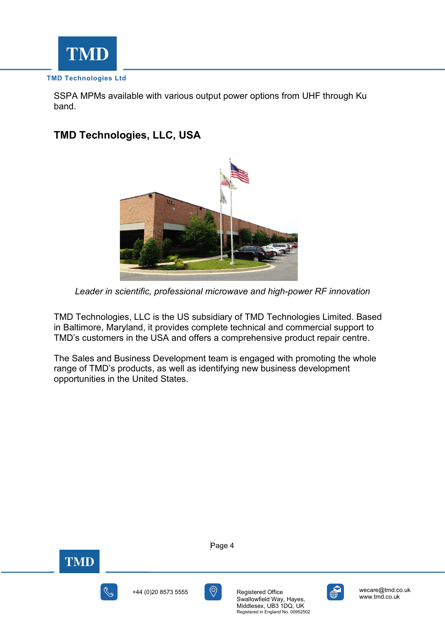

SSPA MPMs available with various output power options from UHF through Ku band.

## **TMD Technologies, LLC, USA**



*Leader in scientific, professional microwave and high-power RF innovation*

TMD Technologies, LLC is the US subsidiary of TMD Technologies Limited. Based in Baltimore, Maryland, it provides complete technical and commercial support to TMD's customers in the USA and offers a comprehensive product repair centre.

The Sales and Business Development team is engaged with promoting the whole range of TMD's products, as well as identifying new business development opportunities in the United States.



í

Page 4





+44 (0)20 8573 5555 Registered Office Swallowfield Way, Hayes, Middlesex, UB3 1DQ, UK Registered in England No. 00952502